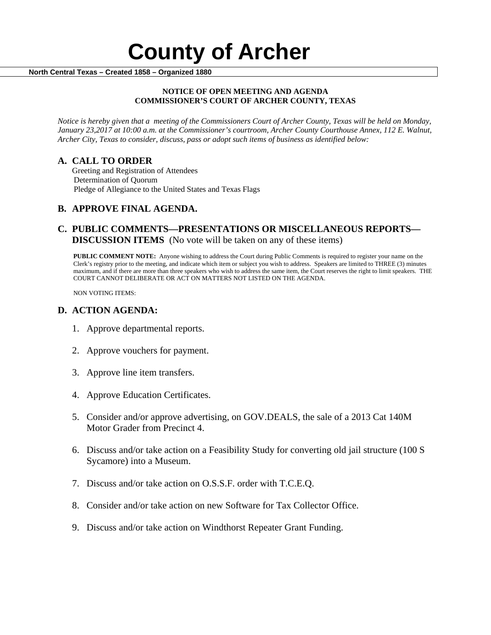#### **NOTICE OF OPEN MEETING AND AGENDA COMMISSIONER'S COURT OF ARCHER COUNTY, TEXAS**

*Notice is hereby given that a meeting of the Commissioners Court of Archer County, Texas will be held on Monday, January 23,2017 at 10:00 a.m. at the Commissioner's courtroom, Archer County Courthouse Annex, 112 E. Walnut, Archer City, Texas to consider, discuss, pass or adopt such items of business as identified below:*

**A. CALL TO ORDER** Greeting and Registration of Attendees Determination of Quorum Pledge of Allegiance to the United States and Texas Flags

# **B. APPROVE FINAL AGENDA.**

# **C. PUBLIC COMMENTS—PRESENTATIONS OR MISCELLANEOUS REPORTS— DISCUSSION ITEMS** (No vote will be taken on any of these items)

**PUBLIC COMMENT NOTE:** Anyone wishing to address the Court during Public Comments is required to register your name on the Clerk's registry prior to the meeting, and indicate which item or subject you wish to address. Speakers are limited to THREE (3) minutes maximum, and if there are more than three speakers who wish to address the same item, the Court reserves the right to limit speakers. THE COURT CANNOT DELIBERATE OR ACT ON MATTERS NOT LISTED ON THE AGENDA.

NON VOTING ITEMS:

### **D. ACTION AGENDA:**

- 1. Approve departmental reports.
- 2. Approve vouchers for payment.
- 3. Approve line item transfers.
- 4. Approve Education Certificates.
- 5. Consider and/or approve advertising, on GOV.DEALS, the sale of a 2013 Cat 140M Motor Grader from Precinct 4.
- 6. Discuss and/or take action on a Feasibility Study for converting old jail structure (100 S Sycamore) into a Museum.
- 7. Discuss and/or take action on O.S.S.F. order with T.C.E.Q.
- 8. Consider and/or take action on new Software for Tax Collector Office.
- 9. Discuss and/or take action on Windthorst Repeater Grant Funding.